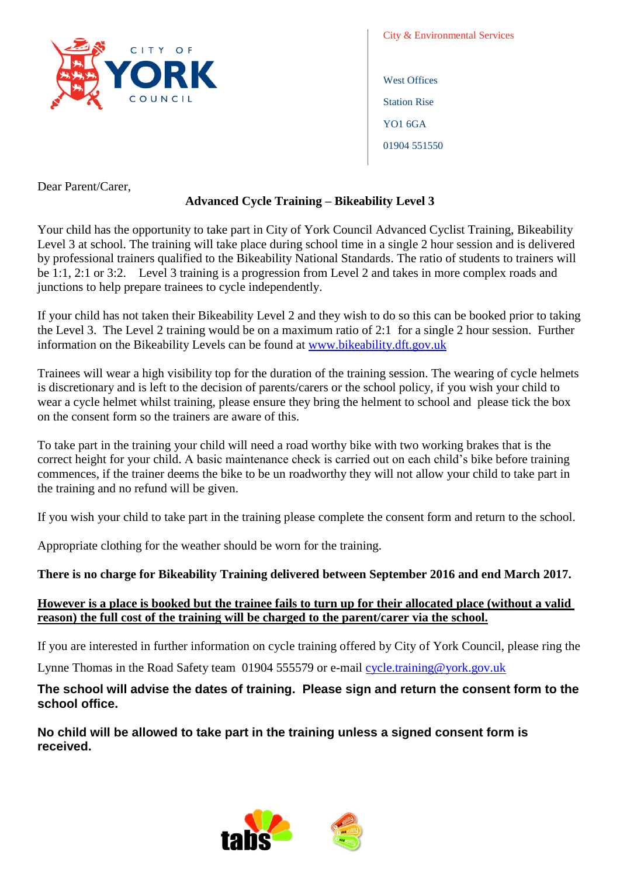

City & Environmental Services West Offices Station Rise YO1 6GA

01904 551550

Dear Parent/Carer,

## **Advanced Cycle Training – Bikeability Level 3**

Your child has the opportunity to take part in City of York Council Advanced Cyclist Training, Bikeability Level 3 at school. The training will take place during school time in a single 2 hour session and is delivered by professional trainers qualified to the Bikeability National Standards. The ratio of students to trainers will be 1:1, 2:1 or 3:2. Level 3 training is a progression from Level 2 and takes in more complex roads and junctions to help prepare trainees to cycle independently.

If your child has not taken their Bikeability Level 2 and they wish to do so this can be booked prior to taking the Level 3. The Level 2 training would be on a maximum ratio of 2:1 for a single 2 hour session. Further information on the Bikeability Levels can be found at [www.bikeability.dft.gov.uk](http://www.bikeability.dft.gov.uk/)

Trainees will wear a high visibility top for the duration of the training session. The wearing of cycle helmets is discretionary and is left to the decision of parents/carers or the school policy, if you wish your child to wear a cycle helmet whilst training, please ensure they bring the helment to school and please tick the box on the consent form so the trainers are aware of this.

To take part in the training your child will need a road worthy bike with two working brakes that is the correct height for your child. A basic maintenance check is carried out on each child's bike before training commences, if the trainer deems the bike to be un roadworthy they will not allow your child to take part in the training and no refund will be given.

If you wish your child to take part in the training please complete the consent form and return to the school.

Appropriate clothing for the weather should be worn for the training.

# **There is no charge for Bikeability Training delivered between September 2016 and end March 2017.**

#### **However is a place is booked but the trainee fails to turn up for their allocated place (without a valid reason) the full cost of the training will be charged to the parent/carer via the school.**

If you are interested in further information on cycle training offered by City of York Council, please ring the

Lynne Thomas in the Road Safety team 01904 555579 or e-mail [cycle.training@york.gov.uk](mailto:cycle.training@york.gov.uk)

# **The school will advise the dates of training. Please sign and return the consent form to the school office.**

**No child will be allowed to take part in the training unless a signed consent form is received.**